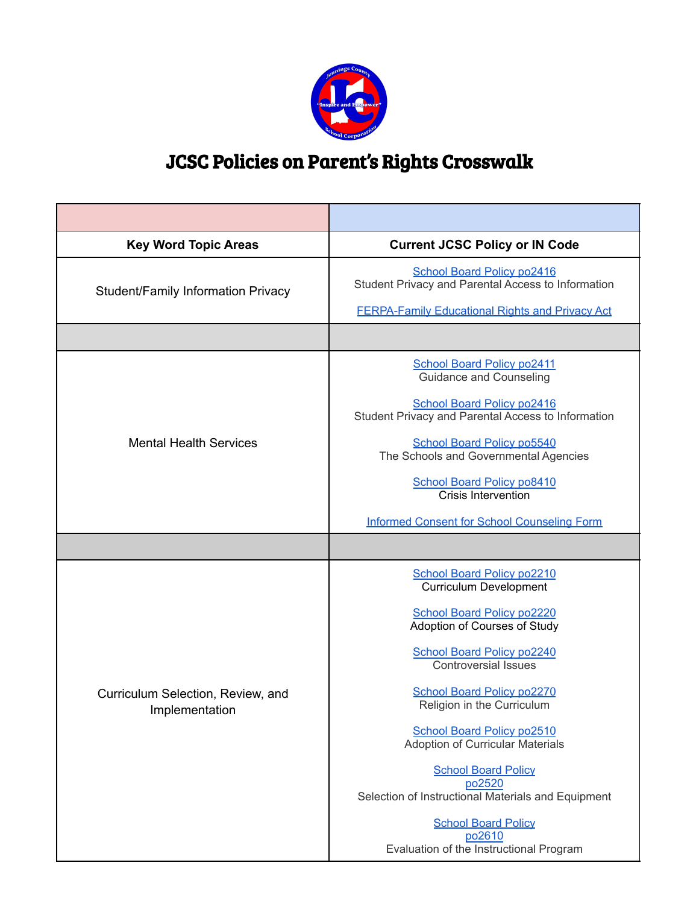

## JCSC Policies on Parent's Rights Crosswalk

| <b>Key Word Topic Areas</b>                         | <b>Current JCSC Policy or IN Code</b>                                                                                                                          |
|-----------------------------------------------------|----------------------------------------------------------------------------------------------------------------------------------------------------------------|
| Student/Family Information Privacy                  | <b>School Board Policy po2416</b><br>Student Privacy and Parental Access to Information<br><b>FERPA-Family Educational Rights and Privacy Act</b>              |
|                                                     |                                                                                                                                                                |
| <b>Mental Health Services</b>                       | <b>School Board Policy po2411</b><br><b>Guidance and Counseling</b><br><b>School Board Policy po2416</b><br>Student Privacy and Parental Access to Information |
|                                                     | <b>School Board Policy po5540</b><br>The Schools and Governmental Agencies<br><b>School Board Policy po8410</b><br><b>Crisis Intervention</b>                  |
|                                                     | <b>Informed Consent for School Counseling Form</b>                                                                                                             |
| Curriculum Selection, Review, and<br>Implementation | <b>School Board Policy po2210</b><br><b>Curriculum Development</b>                                                                                             |
|                                                     | <b>School Board Policy po2220</b><br>Adoption of Courses of Study                                                                                              |
|                                                     | School Board Policy po2240<br><b>Controversial Issues</b>                                                                                                      |
|                                                     | <b>School Board Policy po2270</b><br>Religion in the Curriculum                                                                                                |
|                                                     | School Board Policy po2510<br><b>Adoption of Curricular Materials</b>                                                                                          |
|                                                     | <b>School Board Policy</b><br>po2520<br>Selection of Instructional Materials and Equipment                                                                     |
|                                                     | <b>School Board Policy</b><br>po2610<br>Evaluation of the Instructional Program                                                                                |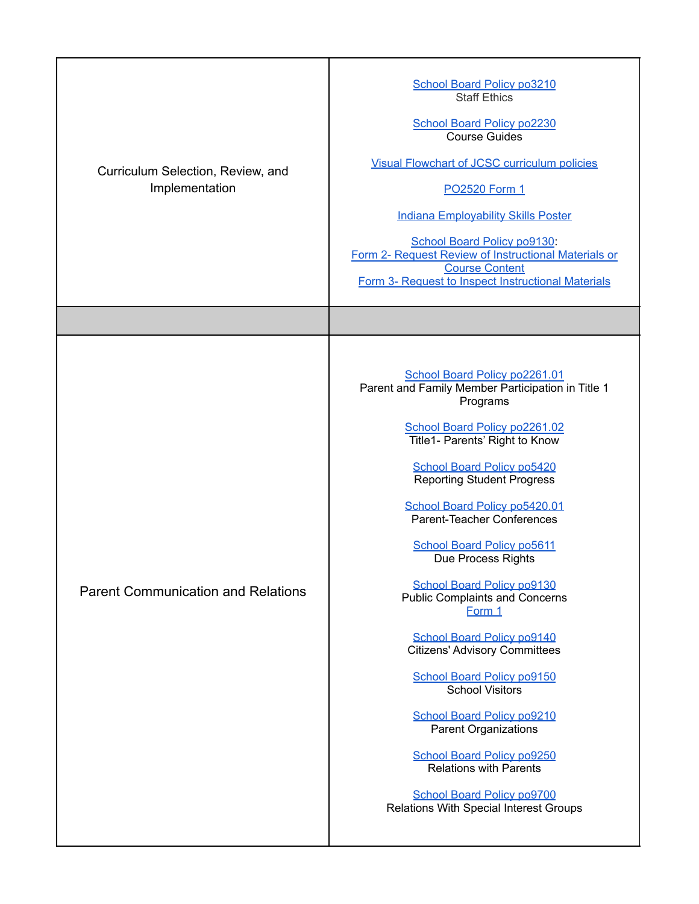| Curriculum Selection, Review, and<br>Implementation | <b>School Board Policy po3210</b><br><b>Staff Ethics</b><br><b>School Board Policy po2230</b><br><b>Course Guides</b><br><b>Visual Flowchart of JCSC curriculum policies</b><br>PO2520 Form 1<br><b>Indiana Employability Skills Poster</b><br>School Board Policy po9130:<br>Form 2- Request Review of Instructional Materials or<br><b>Course Content</b><br>Form 3- Request to Inspect Instructional Materials                                                                                                                                                                                                                                                                                                                                                                                                                  |
|-----------------------------------------------------|------------------------------------------------------------------------------------------------------------------------------------------------------------------------------------------------------------------------------------------------------------------------------------------------------------------------------------------------------------------------------------------------------------------------------------------------------------------------------------------------------------------------------------------------------------------------------------------------------------------------------------------------------------------------------------------------------------------------------------------------------------------------------------------------------------------------------------|
|                                                     |                                                                                                                                                                                                                                                                                                                                                                                                                                                                                                                                                                                                                                                                                                                                                                                                                                    |
| <b>Parent Communication and Relations</b>           | School Board Policy po2261.01<br>Parent and Family Member Participation in Title 1<br>Programs<br>School Board Policy po2261.02<br>Title1- Parents' Right to Know<br><b>School Board Policy po5420</b><br><b>Reporting Student Progress</b><br>School Board Policy po5420.01<br>Parent-Teacher Conferences<br><b>School Board Policy po5611</b><br>Due Process Rights<br><b>School Board Policy po9130</b><br><b>Public Complaints and Concerns</b><br>Form 1<br><b>School Board Policy po9140</b><br><b>Citizens' Advisory Committees</b><br><b>School Board Policy po9150</b><br><b>School Visitors</b><br><b>School Board Policy po9210</b><br><b>Parent Organizations</b><br><b>School Board Policy po9250</b><br><b>Relations with Parents</b><br><b>School Board Policy po9700</b><br>Relations With Special Interest Groups |